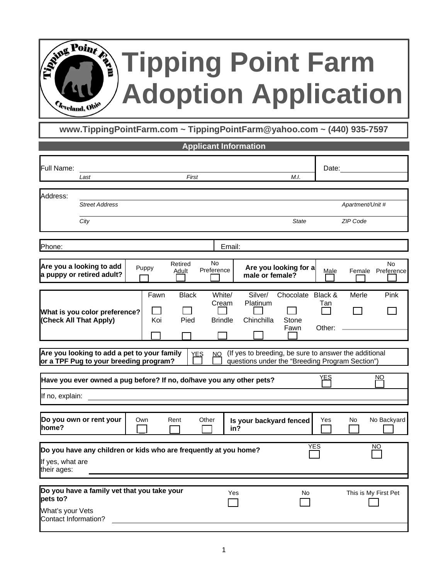## **Tipping Point Farm Adoption Application**

**www.TippingPointFarm.com ~ TippingPointFarm@yahoo.com ~ (440) 935-7597**

|                                                      |                                                                                       |       |                  | <b>Applicant Information</b> |                                   |                                                                                                          |                                    |               |                              |                                |
|------------------------------------------------------|---------------------------------------------------------------------------------------|-------|------------------|------------------------------|-----------------------------------|----------------------------------------------------------------------------------------------------------|------------------------------------|---------------|------------------------------|--------------------------------|
| Full Name:                                           | Last                                                                                  |       |                  | First                        |                                   |                                                                                                          | M.I.                               |               | Date:                        |                                |
| Address:                                             | <b>Street Address</b><br>City                                                         |       |                  |                              |                                   |                                                                                                          | <b>State</b>                       |               | Apartment/Unit #<br>ZIP Code |                                |
|                                                      |                                                                                       |       |                  |                              |                                   |                                                                                                          |                                    |               |                              |                                |
| Phone:                                               |                                                                                       |       |                  |                              | Email:                            |                                                                                                          |                                    |               |                              |                                |
|                                                      | Are you a looking to add<br>a puppy or retired adult?                                 | Puppy | Retired<br>Adult | <b>No</b><br>Preference      |                                   | male or female?                                                                                          | Are you looking for a              | Male          |                              | <b>No</b><br>Female Preference |
|                                                      | What is you color preference?<br>(Check All That Apply)                               |       | Fawn<br>Koi      | <b>Black</b><br>Pied         | White/<br>Cream<br><b>Brindle</b> | Silver/<br>Platinum<br>Chinchilla                                                                        | Chocolate Black &<br>Stone<br>Fawn | Tan<br>Other: | Merle                        | Pink                           |
|                                                      | Are you looking to add a pet to your family<br>or a TPF Pug to your breeding program? |       |                  | YES<br>NQ                    |                                   | (If yes to breeding, be sure to answer the additional<br>questions under the "Breeding Program Section") |                                    |               |                              |                                |
|                                                      | Have you ever owned a pug before? If no, do/have you any other pets?                  |       |                  |                              |                                   |                                                                                                          |                                    | YES           |                              | ΝO                             |
| If no, explain:                                      |                                                                                       |       |                  |                              |                                   |                                                                                                          |                                    |               |                              |                                |
| home?                                                | Do you own or rent your                                                               | Own   | Rent             | Other                        | in?                               | Is your backyard fenced                                                                                  |                                    | Yes           | No.                          | No Backyard                    |
| If yes, what are<br>their ages:                      | Do you have any children or kids who are frequently at you home?                      |       |                  |                              |                                   |                                                                                                          |                                    | <b>YES</b>    |                              | NO.                            |
|                                                      |                                                                                       |       |                  |                              |                                   |                                                                                                          |                                    |               |                              |                                |
| pets to?<br>What's your Vets<br>Contact Information? | Do you have a family vet that you take your                                           |       |                  |                              | Yes                               |                                                                                                          | No                                 |               |                              | This is My First Pet           |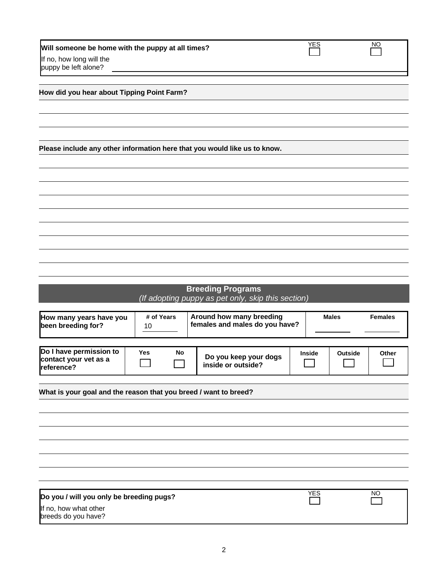| Will someone be home with the puppy at all times? | YES | NΟ |
|---------------------------------------------------|-----|----|
| If no, how long will the                          |     |    |
| puppy be left alone?                              |     |    |

|  |  |  |  |  | How did you hear about Tipping Point Farm? |  |  |
|--|--|--|--|--|--------------------------------------------|--|--|
|--|--|--|--|--|--------------------------------------------|--|--|

**Please include any other information here that you would like us to know.**

| <b>Breeding Programs</b>                           |  |  |  |  |  |  |  |  |  |
|----------------------------------------------------|--|--|--|--|--|--|--|--|--|
| (If adopting puppy as pet only, skip this section) |  |  |  |  |  |  |  |  |  |

|                                                                  |            |    |                                             | females and males do you have? |         | <b>Females</b> |  |
|------------------------------------------------------------------|------------|----|---------------------------------------------|--------------------------------|---------|----------------|--|
| Do I have permission to<br>contact your vet as a<br>reference?   | <b>Yes</b> | No | Do you keep your dogs<br>inside or outside? | <b>Inside</b>                  | Outside | Other          |  |
| What is your goal and the reason that you breed / want to breed? |            |    |                                             |                                |         |                |  |

| Do you / will you only be breeding pugs?     | YES | ΝO |
|----------------------------------------------|-----|----|
| If no, how what other<br>breeds do you have? |     |    |